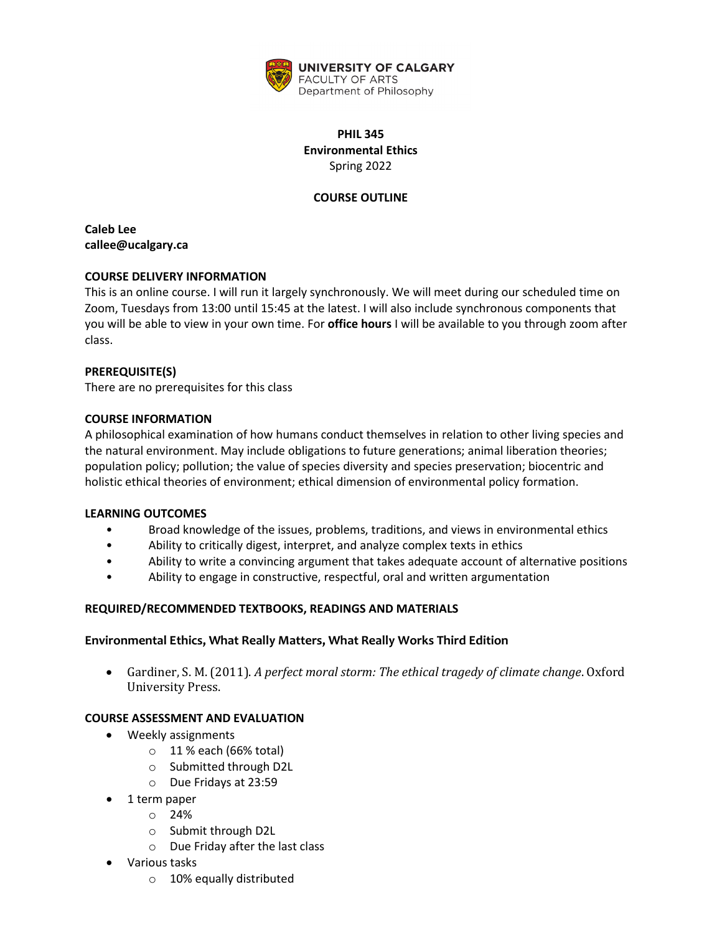

# **PHIL 345 Environmental Ethics** Spring 2022

## **COURSE OUTLINE**

**Caleb Lee callee@ucalgary.ca**

## **COURSE DELIVERY INFORMATION**

This is an online course. I will run it largely synchronously. We will meet during our scheduled time on Zoom, Tuesdays from 13:00 until 15:45 at the latest. I will also include synchronous components that you will be able to view in your own time. For **office hours** I will be available to you through zoom after class.

### **PREREQUISITE(S)**

There are no prerequisites for this class

### **COURSE INFORMATION**

A philosophical examination of how humans conduct themselves in relation to other living species and the natural environment. May include obligations to future generations; animal liberation theories; population policy; pollution; the value of species diversity and species preservation; biocentric and holistic ethical theories of environment; ethical dimension of environmental policy formation.

#### **LEARNING OUTCOMES**

- Broad knowledge of the issues, problems, traditions, and views in environmental ethics
- Ability to critically digest, interpret, and analyze complex texts in ethics
- Ability to write a convincing argument that takes adequate account of alternative positions
- Ability to engage in constructive, respectful, oral and written argumentation

## **REQUIRED/RECOMMENDED TEXTBOOKS, READINGS AND MATERIALS**

## **Environmental Ethics, What Really Matters, What Really Works Third Edition**

• Gardiner, S. M. (2011). *A perfect moral storm: The ethical tragedy of climate change*. Oxford University Press.

## **COURSE ASSESSMENT AND EVALUATION**

- Weekly assignments
	- $\circ$  11 % each (66% total)
	- o Submitted through D2L
	- o Due Fridays at 23:59
- 1 term paper
	- o 24%
	- o Submit through D2L
	- o Due Friday after the last class
- Various tasks
	- o 10% equally distributed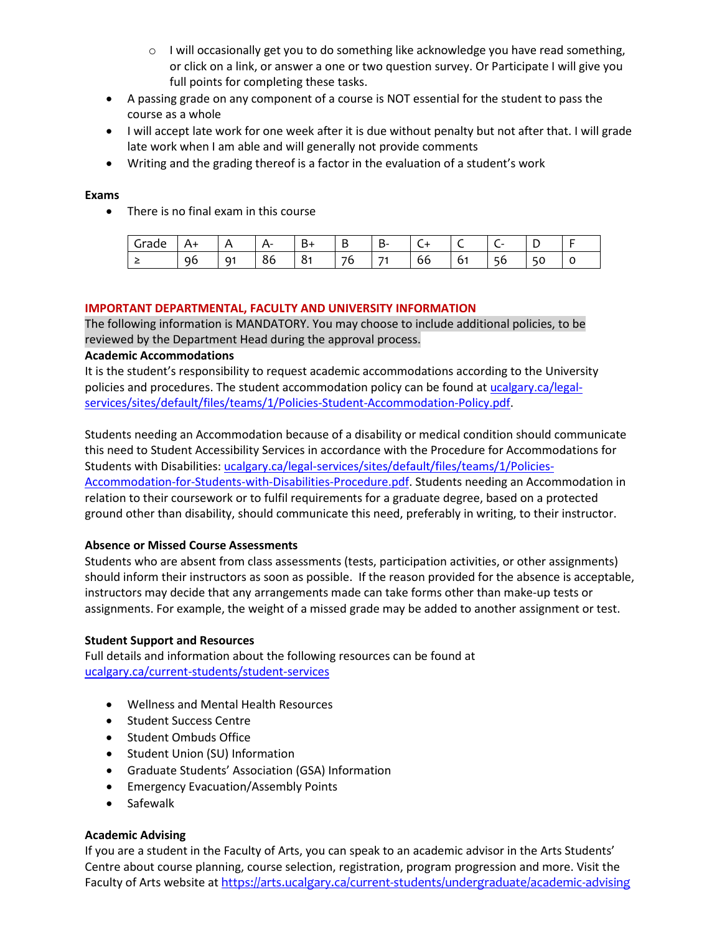- o I will occasionally get you to do something like acknowledge you have read something, or click on a link, or answer a one or two question survey. Or Participate I will give you full points for completing these tasks.
- A passing grade on any component of a course is NOT essential for the student to pass the course as a whole
- I will accept late work for one week after it is due without penalty but not after that. I will grade late work when I am able and will generally not provide comments
- Writing and the grading thereof is a factor in the evaluation of a student's work

### **Exams**

• There is no final exam in this course

| . .<br>due<br>ں |              | д  | ∸∸<br>-       | .,<br>D     | D<br>-                          | . .<br>D-<br>-           | ∽  |                          | - |        |
|-----------------|--------------|----|---------------|-------------|---------------------------------|--------------------------|----|--------------------------|---|--------|
|                 | $\sim$<br>чt | Q1 | $\circ$<br>oo | ∽<br>ິ<br>ິ | $\overline{\phantom{a}}$<br>. . | $\overline{\phantom{a}}$ | 66 | $\overline{\phantom{0}}$ |   | ∽<br>U |

### **IMPORTANT DEPARTMENTAL, FACULTY AND UNIVERSITY INFORMATION**

The following information is MANDATORY. You may choose to include additional policies, to be reviewed by the Department Head during the approval process.

### **Academic Accommodations**

It is the student's responsibility to request academic accommodations according to the University policies and procedures. The student accommodation policy can be found a[t ucalgary.ca/legal](http://www.ucalgary.ca/legal-services/sites/default/files/teams/1/Policies-Student-Accommodation-Policy.pdf)[services/sites/default/files/teams/1/Policies-Student-Accommodation-Policy.pdf.](http://www.ucalgary.ca/legal-services/sites/default/files/teams/1/Policies-Student-Accommodation-Policy.pdf)

Students needing an Accommodation because of a disability or medical condition should communicate this need to Student Accessibility Services in accordance with the Procedure for Accommodations for Students with Disabilities: [ucalgary.ca/legal-services/sites/default/files/teams/1/Policies-](https://www.ucalgary.ca/legal-services/sites/default/files/teams/1/Policies-Accommodation-for-Students-with-Disabilities-Procedure.pdf)[Accommodation-for-Students-with-Disabilities-Procedure.pdf.](https://www.ucalgary.ca/legal-services/sites/default/files/teams/1/Policies-Accommodation-for-Students-with-Disabilities-Procedure.pdf) Students needing an Accommodation in relation to their coursework or to fulfil requirements for a graduate degree, based on a protected ground other than disability, should communicate this need, preferably in writing, to their instructor.

## **Absence or Missed Course Assessments**

Students who are absent from class assessments (tests, participation activities, or other assignments) should inform their instructors as soon as possible. If the reason provided for the absence is acceptable, instructors may decide that any arrangements made can take forms other than make-up tests or assignments. For example, the weight of a missed grade may be added to another assignment or test.

#### **Student Support and Resources**

Full details and information about the following resources can be found a[t](https://www.ucalgary.ca/current-students/student-services)  [ucalgary.ca/current-students/student-services](https://www.ucalgary.ca/current-students/student-services)

- Wellness and Mental Health Resources
- Student Success Centre
- Student Ombuds Office
- Student Union (SU) Information
- Graduate Students' Association (GSA) Information
- Emergency Evacuation/Assembly Points
- Safewalk

## **Academic Advising**

If you are a student in the Faculty of Arts, you can speak to an academic advisor in the Arts Students' Centre about course planning, course selection, registration, program progression and more. Visit the Faculty of Arts website at <https://arts.ucalgary.ca/current-students/undergraduate/academic-advising>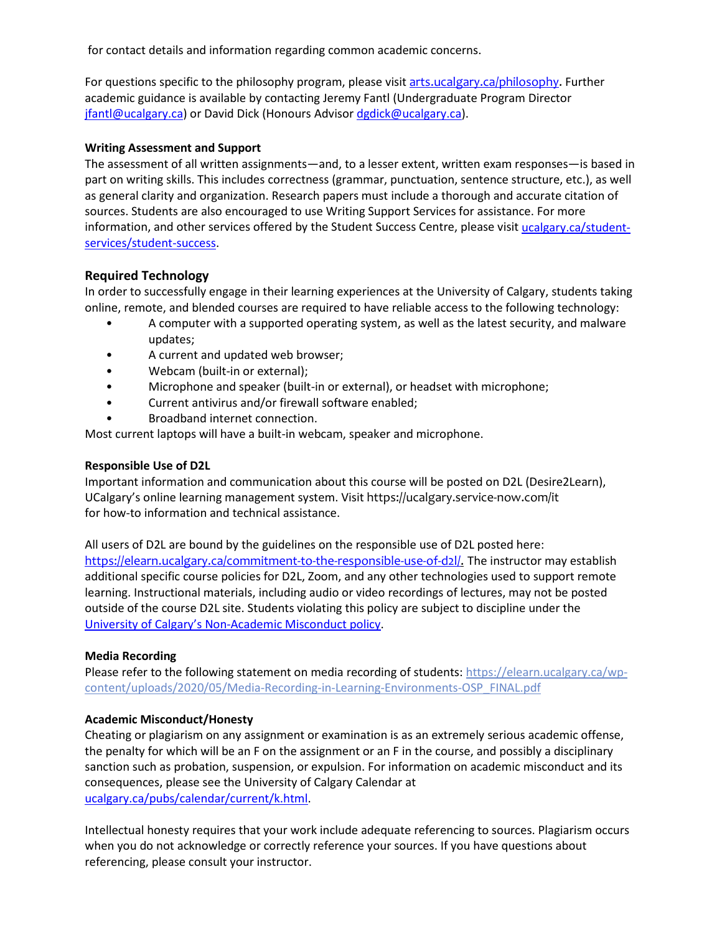for contact details and information regarding common academic concerns.

For questions specific to the philosophy program, please visit arts.ucalgary.ca/philosophy. Further academic guidance is available by contacting Jeremy Fantl (Undergraduate Program Director [jfantl@ucalgary.ca\)](mailto:jfantl@ucalgary.ca) or David Dick (Honours Adviso[r dgdick@ucalgary.ca\)](mailto:dgdick@ucalgary.ca).

### **Writing Assessment and Support**

The assessment of all written assignments—and, to a lesser extent, written exam responses—is based in part on writing skills. This includes correctness (grammar, punctuation, sentence structure, etc.), as well as general clarity and organization. Research papers must include a thorough and accurate citation of sources. Students are also encouraged to use Writing Support Services for assistance. For more information, and other services offered by the Student Success Centre, please visi[t ucalgary.ca/student](https://ucalgary.ca/student-services/student-success)[services/student-success.](https://ucalgary.ca/student-services/student-success)

## **Required Technology**

In order to successfully engage in their learning experiences at the University of Calgary, students taking online, remote, and blended courses are required to have reliable access to the following technology:

- A computer with a supported operating system, as well as the latest security, and malware updates;
- A current and updated web browser;
- Webcam (built-in or external);
- Microphone and speaker (built-in or external), or headset with microphone;
- Current antivirus and/or firewall software enabled;
- Broadband internet connection.

Most current laptops will have a built-in webcam, speaker and microphone.

#### **Responsible Use of D2L**

Important information and communication about this course will be posted on D2L (Desire2Learn), UCalgary's online learning management system. Visit https://ucalgary.service-now.com/it for how-to information and technical assistance.

All users of D2L are bound by the guidelines on the responsible use of D2L posted here: [https://elearn.ucalgary.ca/commitment-to-the-responsible-use-of-d2l/.](https://elearn.ucalgary.ca/commitment-to-the-responsible-use-of-d2l/) The instructor may establish additional specific course policies for D2L, Zoom, and any other technologies used to support remote learning. Instructional materials, including audio or video recordings of lectures, may not be posted outside of the course D2L site. Students violating this policy are subject to discipline under the [University of Calgary's Non-Academic Misconduct policy.](https://www.ucalgary.ca/legal-services/sites/default/files/teams/1/Policies-Student-Non-Academic-Misconduct-Policy.pdf)

#### **Media Recording**

Please refer to the following statement on media recording of students: [https://elearn.ucalgary.ca/wp](https://elearn.ucalgary.ca/wp-content/uploads/2020/05/Media-Recording-in-Learning-Environments-OSP_FINAL.pdf)[content/uploads/2020/05/Media-Recording-in-Learning-Environments-OSP\\_FINAL.pdf](https://elearn.ucalgary.ca/wp-content/uploads/2020/05/Media-Recording-in-Learning-Environments-OSP_FINAL.pdf)

#### **Academic Misconduct/Honesty**

Cheating or plagiarism on any assignment or examination is as an extremely serious academic offense, the penalty for which will be an F on the assignment or an F in the course, and possibly a disciplinary sanction such as probation, suspension, or expulsion. For information on academic misconduct and its consequences, please see the University of Calgary Calendar at [ucalgary.ca/pubs/calendar/current/k.html.](https://ucalgary.ca/pubs/calendar/current/k.html)

Intellectual honesty requires that your work include adequate referencing to sources. Plagiarism occurs when you do not acknowledge or correctly reference your sources. If you have questions about referencing, please consult your instructor.